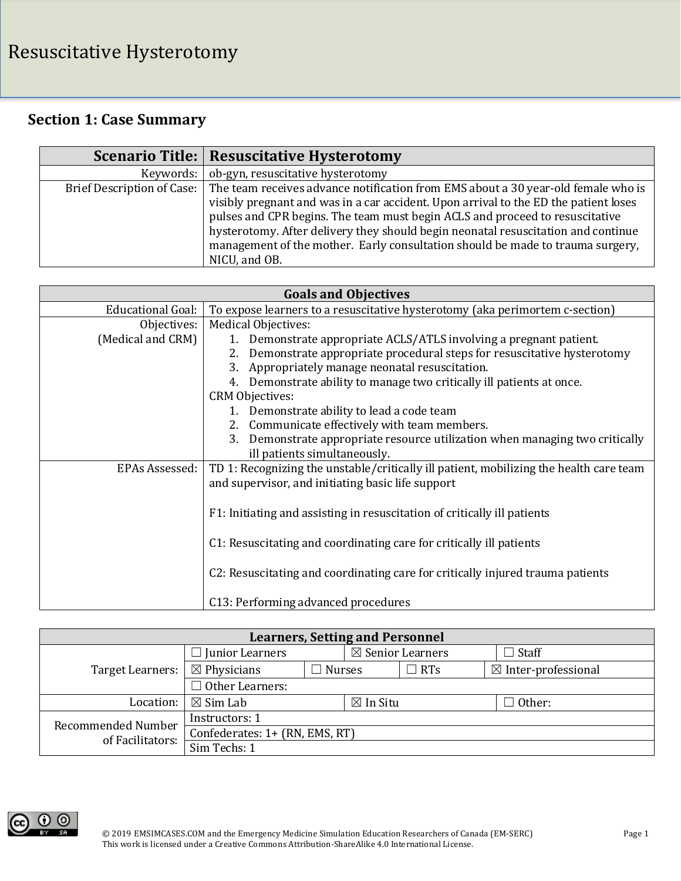## **Section 1: Case Summary**

|           | <b>Scenario Title: Resuscitative Hysterotomy</b>                                                                                                                                                                                                                                                                                                                                                                                                                             |
|-----------|------------------------------------------------------------------------------------------------------------------------------------------------------------------------------------------------------------------------------------------------------------------------------------------------------------------------------------------------------------------------------------------------------------------------------------------------------------------------------|
| Keywords: | ob-gyn, resuscitative hysterotomy                                                                                                                                                                                                                                                                                                                                                                                                                                            |
|           | Brief Description of Case: The team receives advance notification from EMS about a 30 year-old female who is<br>visibly pregnant and was in a car accident. Upon arrival to the ED the patient loses<br>pulses and CPR begins. The team must begin ACLS and proceed to resuscitative<br>hysterotomy. After delivery they should begin neonatal resuscitation and continue<br>management of the mother. Early consultation should be made to trauma surgery,<br>NICU, and OB. |

| <b>Goals and Objectives</b> |                                                                                        |  |  |
|-----------------------------|----------------------------------------------------------------------------------------|--|--|
| Educational Goal:           | To expose learners to a resuscitative hysterotomy (aka perimortem c-section)           |  |  |
| Objectives:                 | Medical Objectives:                                                                    |  |  |
| (Medical and CRM)           | 1. Demonstrate appropriate ACLS/ATLS involving a pregnant patient.                     |  |  |
|                             | 2. Demonstrate appropriate procedural steps for resuscitative hysterotomy              |  |  |
|                             | 3. Appropriately manage neonatal resuscitation.                                        |  |  |
|                             | 4. Demonstrate ability to manage two critically ill patients at once.                  |  |  |
|                             | <b>CRM Objectives:</b>                                                                 |  |  |
|                             | 1. Demonstrate ability to lead a code team                                             |  |  |
|                             | 2. Communicate effectively with team members.                                          |  |  |
|                             | 3. Demonstrate appropriate resource utilization when managing two critically           |  |  |
|                             | ill patients simultaneously.                                                           |  |  |
| EPAs Assessed:              | TD 1: Recognizing the unstable/critically ill patient, mobilizing the health care team |  |  |
|                             | and supervisor, and initiating basic life support                                      |  |  |
|                             |                                                                                        |  |  |
|                             | F1: Initiating and assisting in resuscitation of critically ill patients               |  |  |
|                             |                                                                                        |  |  |
|                             | C1: Resuscitating and coordinating care for critically ill patients                    |  |  |
|                             |                                                                                        |  |  |
|                             | C2: Resuscitating and coordinating care for critically injured trauma patients         |  |  |
|                             |                                                                                        |  |  |
|                             | C13: Performing advanced procedures                                                    |  |  |

| <b>Learners, Setting and Personnel</b> |                                |               |                     |                             |  |                                |
|----------------------------------------|--------------------------------|---------------|---------------------|-----------------------------|--|--------------------------------|
|                                        | $\Box$ Junior Learners         |               |                     | $\boxtimes$ Senior Learners |  | $\Box$ Staff                   |
| Target Learners:                       | $\boxtimes$ Physicians         | <b>Nurses</b> |                     | $\Box$ RTs                  |  | $\boxtimes$ Inter-professional |
|                                        | $\Box$ Other Learners:         |               |                     |                             |  |                                |
| Location:                              | $\boxtimes$ Sim Lab            |               | $\boxtimes$ In Situ |                             |  | Other:                         |
| <b>Recommended Number</b>              | Instructors: 1                 |               |                     |                             |  |                                |
| of Facilitators:                       | Confederates: 1+ (RN, EMS, RT) |               |                     |                             |  |                                |
|                                        | Sim Techs: 1                   |               |                     |                             |  |                                |

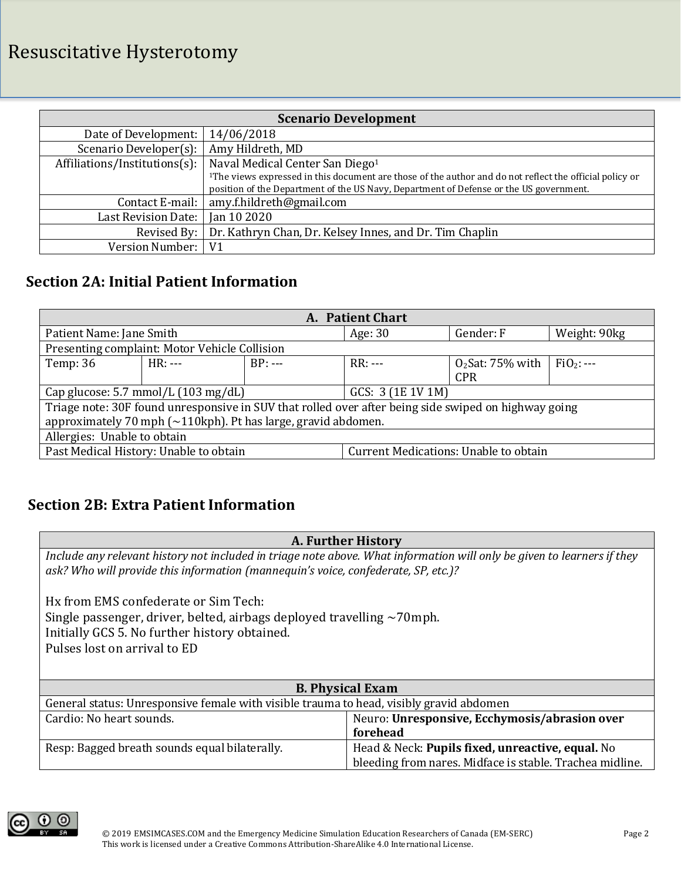## Resuscitative Hysterotomy

| <b>Scenario Development</b>                                                                                         |                                                                                        |  |  |
|---------------------------------------------------------------------------------------------------------------------|----------------------------------------------------------------------------------------|--|--|
| Date of Development:                                                                                                | 14/06/2018                                                                             |  |  |
| Scenario Developer(s):                                                                                              | Amy Hildreth, MD                                                                       |  |  |
| Affiliations/Institutions(s):                                                                                       | Naval Medical Center San Diego <sup>1</sup>                                            |  |  |
| <sup>1</sup> The views expressed in this document are those of the author and do not reflect the official policy or |                                                                                        |  |  |
|                                                                                                                     | position of the Department of the US Navy, Department of Defense or the US government. |  |  |
| Contact E-mail:                                                                                                     | amy.f.hildreth@gmail.com                                                               |  |  |
| Last Revision Date:                                                                                                 | Jan 10 2020                                                                            |  |  |
| Revised By:                                                                                                         | Dr. Kathryn Chan, Dr. Kelsey Innes, and Dr. Tim Chaplin                                |  |  |
| Version Number:                                                                                                     | V <sub>1</sub>                                                                         |  |  |

### **Section 2A: Initial Patient Information**

| A. Patient Chart                                                                                     |                                               |           |                                              |                    |               |  |
|------------------------------------------------------------------------------------------------------|-----------------------------------------------|-----------|----------------------------------------------|--------------------|---------------|--|
| Patient Name: Jane Smith                                                                             |                                               |           | Age: 30                                      | Gender: F          | Weight: 90kg  |  |
|                                                                                                      | Presenting complaint: Motor Vehicle Collision |           |                                              |                    |               |  |
| Temp: 36                                                                                             | $HR: ---$                                     | $BP: ---$ | $RR: ---$                                    | $O2$ Sat: 75% with | $FiO_2$ : --- |  |
|                                                                                                      |                                               |           |                                              | <b>CPR</b>         |               |  |
| Cap glucose: 5.7 mmol/L (103 mg/dL)                                                                  |                                               |           | GCS: 3 (1E 1V 1M)                            |                    |               |  |
| Triage note: 30F found unresponsive in SUV that rolled over after being side swiped on highway going |                                               |           |                                              |                    |               |  |
| approximately 70 mph $\sim$ 110kph). Pt has large, gravid abdomen.                                   |                                               |           |                                              |                    |               |  |
| Allergies: Unable to obtain                                                                          |                                               |           |                                              |                    |               |  |
| Past Medical History: Unable to obtain                                                               |                                               |           | <b>Current Medications: Unable to obtain</b> |                    |               |  |

### **Section 2B: Extra Patient Information**

### **A. Further History**

*Include any relevant history not included in triage note above. What information will only be given to learners if they ask? Who will provide this information (mannequin's voice, confederate, SP, etc.)?*

Hx from EMS confederate or Sim Tech: Single passenger, driver, belted, airbags deployed travelling ~70mph. Initially GCS 5. No further history obtained. Pulses lost on arrival to ED

| <b>B. Physical Exam</b>                                                                 |                                                                                                              |  |  |
|-----------------------------------------------------------------------------------------|--------------------------------------------------------------------------------------------------------------|--|--|
| General status: Unresponsive female with visible trauma to head, visibly gravid abdomen |                                                                                                              |  |  |
| Neuro: Unresponsive, Ecchymosis/abrasion over<br>Cardio: No heart sounds.<br>forehead   |                                                                                                              |  |  |
| Resp: Bagged breath sounds equal bilaterally.                                           | Head & Neck: Pupils fixed, unreactive, equal. No<br>bleeding from nares. Midface is stable. Trachea midline. |  |  |

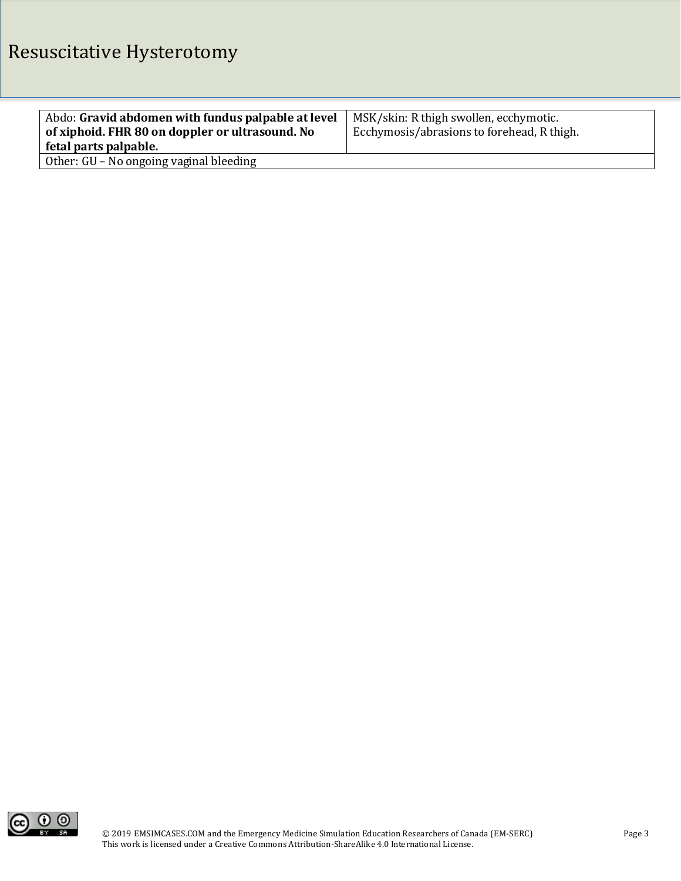| Abdo: Gravid abdomen with fundus palpable at level | MSK/skin: R thigh swollen, ecchymotic.     |
|----------------------------------------------------|--------------------------------------------|
| of xiphoid. FHR 80 on doppler or ultrasound. No    | Ecchymosis/abrasions to forehead, R thigh. |
| fetal parts palpable.                              |                                            |
| Other: GU - No ongoing vaginal bleeding            |                                            |

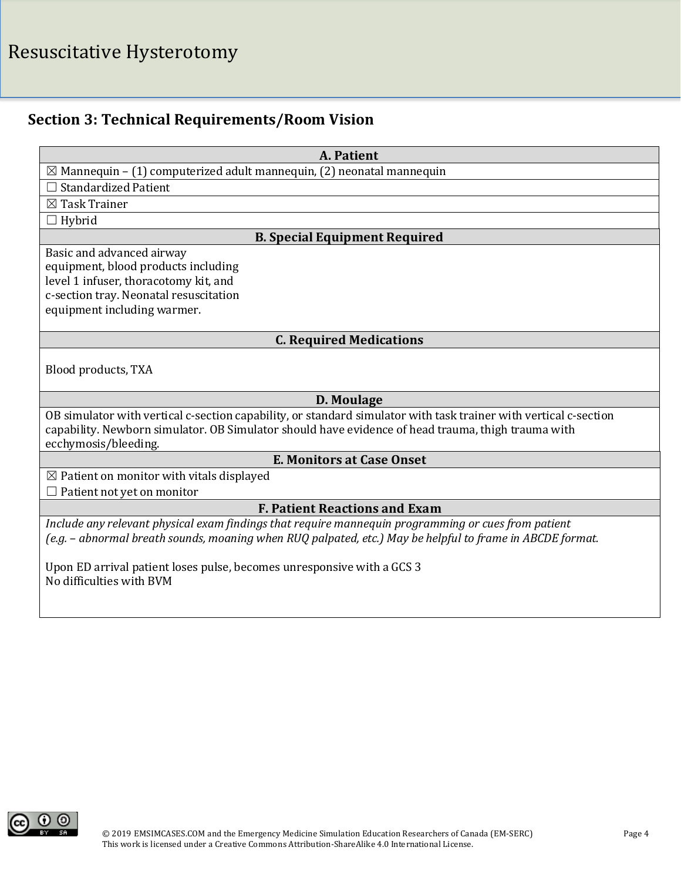# Resuscitative Hysterotomy

## **Section 3: Technical Requirements/Room Vision**

| A. Patient                                                                                                       |  |  |
|------------------------------------------------------------------------------------------------------------------|--|--|
| $\boxtimes$ Mannequin – (1) computerized adult mannequin, (2) neonatal mannequin                                 |  |  |
| <b>Standardized Patient</b>                                                                                      |  |  |
| $\boxtimes$ Task Trainer                                                                                         |  |  |
| Hybrid                                                                                                           |  |  |
| <b>B. Special Equipment Required</b>                                                                             |  |  |
| Basic and advanced airway                                                                                        |  |  |
| equipment, blood products including                                                                              |  |  |
| level 1 infuser, thoracotomy kit, and                                                                            |  |  |
| c-section tray. Neonatal resuscitation                                                                           |  |  |
| equipment including warmer.                                                                                      |  |  |
| <b>C. Required Medications</b>                                                                                   |  |  |
|                                                                                                                  |  |  |
| Blood products, TXA                                                                                              |  |  |
|                                                                                                                  |  |  |
| D. Moulage                                                                                                       |  |  |
| OB simulator with vertical c-section capability, or standard simulator with task trainer with vertical c-section |  |  |
| capability. Newborn simulator. OB Simulator should have evidence of head trauma, thigh trauma with               |  |  |
| ecchymosis/bleeding.                                                                                             |  |  |
| <b>E. Monitors at Case Onset</b>                                                                                 |  |  |
| $\boxtimes$ Patient on monitor with vitals displayed                                                             |  |  |
| Patient not yet on monitor                                                                                       |  |  |
| <b>F. Patient Reactions and Exam</b>                                                                             |  |  |
| Include any relevant physical exam findings that require mannequin programming or cues from patient              |  |  |
| (e.g. - abnormal breath sounds, moaning when RUQ palpated, etc.) May be helpful to frame in ABCDE format.        |  |  |
|                                                                                                                  |  |  |
| Upon ED arrival patient loses pulse, becomes unresponsive with a GCS 3<br>No difficulties with BVM               |  |  |
|                                                                                                                  |  |  |
|                                                                                                                  |  |  |

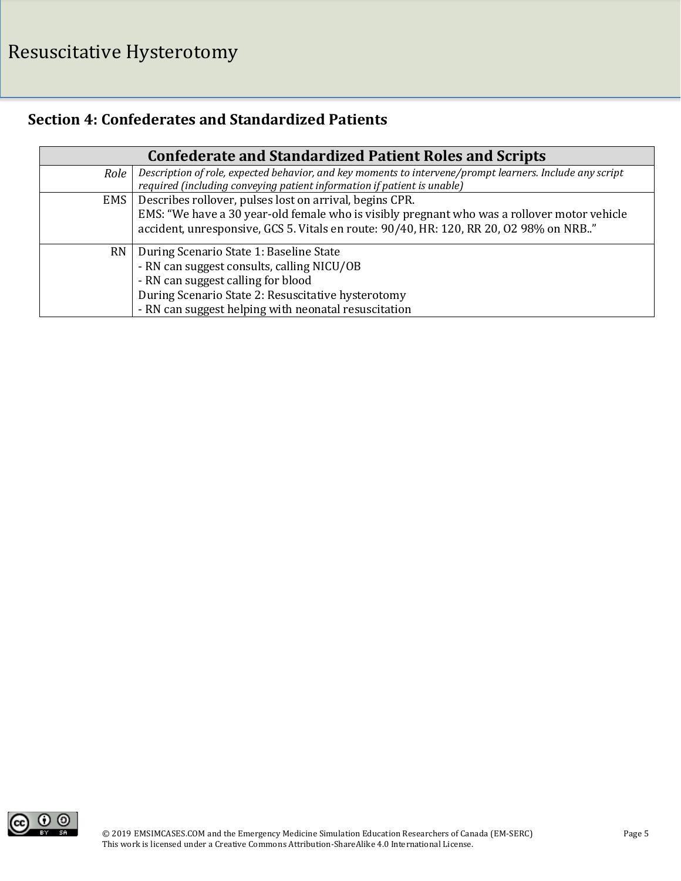## **Section 4: Confederates and Standardized Patients**

|           | <b>Confederate and Standardized Patient Roles and Scripts</b>                                            |
|-----------|----------------------------------------------------------------------------------------------------------|
| Role      | Description of role, expected behavior, and key moments to intervene/prompt learners. Include any script |
|           | required (including conveying patient information if patient is unable)                                  |
| EMS       | Describes rollover, pulses lost on arrival, begins CPR.                                                  |
|           | EMS: "We have a 30 year-old female who is visibly pregnant who was a rollover motor vehicle              |
|           | accident, unresponsive, GCS 5. Vitals en route: 90/40, HR: 120, RR 20, O2 98% on NRB"                    |
| <b>RN</b> | During Scenario State 1: Baseline State                                                                  |
|           | - RN can suggest consults, calling NICU/OB                                                               |
|           | - RN can suggest calling for blood                                                                       |
|           | During Scenario State 2: Resuscitative hysterotomy                                                       |
|           | - RN can suggest helping with neonatal resuscitation                                                     |

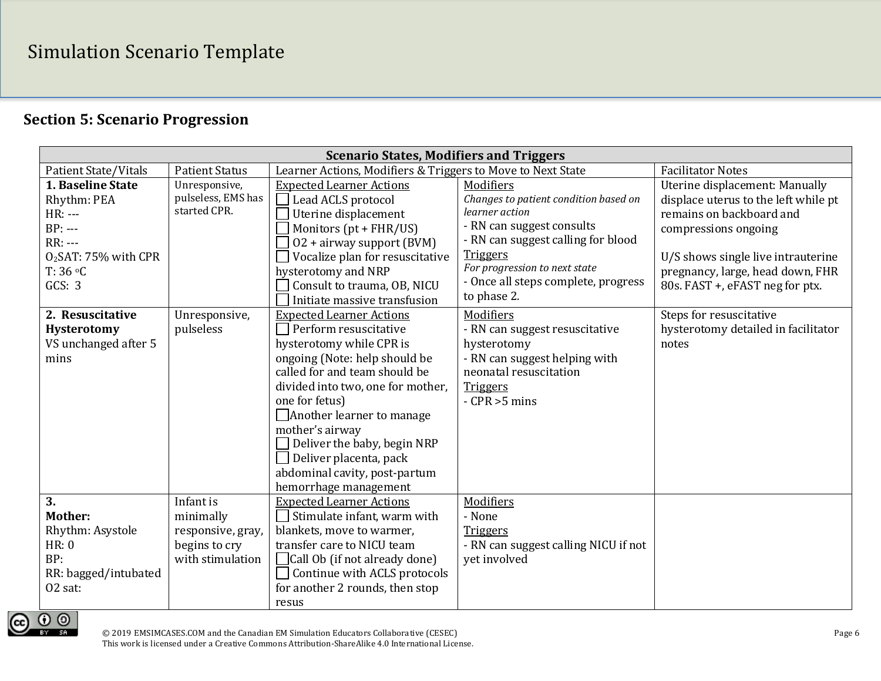## **Section 5: Scenario Progression**

| <b>Scenario States, Modifiers and Triggers</b>                                                                     |                                                                                  |                                                                                                                                                                                                                                                                                                                                                                                                |                                                                                                                                                                                                                                                   |                                                                                                                                                                                                                                         |  |
|--------------------------------------------------------------------------------------------------------------------|----------------------------------------------------------------------------------|------------------------------------------------------------------------------------------------------------------------------------------------------------------------------------------------------------------------------------------------------------------------------------------------------------------------------------------------------------------------------------------------|---------------------------------------------------------------------------------------------------------------------------------------------------------------------------------------------------------------------------------------------------|-----------------------------------------------------------------------------------------------------------------------------------------------------------------------------------------------------------------------------------------|--|
| <b>Patient State/Vitals</b>                                                                                        | <b>Patient Status</b>                                                            | Learner Actions, Modifiers & Triggers to Move to Next State                                                                                                                                                                                                                                                                                                                                    | <b>Facilitator Notes</b>                                                                                                                                                                                                                          |                                                                                                                                                                                                                                         |  |
| 1. Baseline State<br>Rhythm: PEA<br>HR: ---<br>$BP: --$<br>$RR: --$<br>$O2SAT: 75%$ with CPR<br>T: 36 °C<br>GCS: 3 | Unresponsive,<br>pulseless, EMS has<br>started CPR.                              | <b>Expected Learner Actions</b><br>Lead ACLS protocol<br>Uterine displacement<br>Monitors (pt + FHR/US)<br>02 + airway support (BVM)<br>Vocalize plan for resuscitative<br>hysterotomy and NRP<br>Consult to trauma, OB, NICU<br>Initiate massive transfusion                                                                                                                                  | Modifiers<br>Changes to patient condition based on<br>learner action<br>- RN can suggest consults<br>- RN can suggest calling for blood<br><b>Triggers</b><br>For progression to next state<br>- Once all steps complete, progress<br>to phase 2. | Uterine displacement: Manually<br>displace uterus to the left while pt<br>remains on backboard and<br>compressions ongoing<br>U/S shows single live intrauterine<br>pregnancy, large, head down, FHR<br>80s. FAST +, eFAST neg for ptx. |  |
| 2. Resuscitative<br>Hysterotomy<br>VS unchanged after 5<br>mins                                                    | Unresponsive,<br>pulseless                                                       | <b>Expected Learner Actions</b><br>Perform resuscitative<br>hysterotomy while CPR is<br>ongoing (Note: help should be<br>called for and team should be<br>divided into two, one for mother,<br>one for fetus)<br>$\Box$ Another learner to manage<br>mother's airway<br>Deliver the baby, begin NRP<br>$\Box$ Deliver placenta, pack<br>abdominal cavity, post-partum<br>hemorrhage management | Modifiers<br>- RN can suggest resuscitative<br>hysterotomy<br>- RN can suggest helping with<br>neonatal resuscitation<br><b>Triggers</b><br>$-CPR > 5 mins$                                                                                       | Steps for resuscitative<br>hysterotomy detailed in facilitator<br>notes                                                                                                                                                                 |  |
| 3.<br><b>Mother:</b><br>Rhythm: Asystole<br>HR: 0<br>BP:<br>RR: bagged/intubated<br>02 sat:                        | Infant is<br>minimally<br>responsive, gray,<br>begins to cry<br>with stimulation | <b>Expected Learner Actions</b><br>Stimulate infant, warm with<br>blankets, move to warmer,<br>transfer care to NICU team<br>Call Ob (if not already done)<br>Continue with ACLS protocols<br>for another 2 rounds, then stop<br>resus                                                                                                                                                         | Modifiers<br>- None<br><b>Triggers</b><br>- RN can suggest calling NICU if not<br>yet involved                                                                                                                                                    |                                                                                                                                                                                                                                         |  |

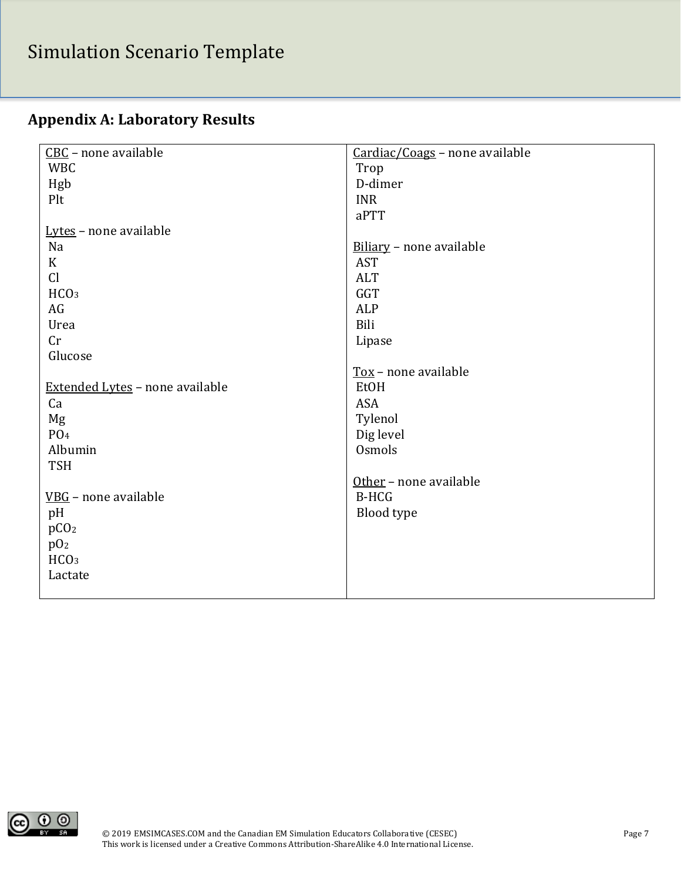# Simulation Scenario Template

|  | <b>Appendix A: Laboratory Results</b> |  |
|--|---------------------------------------|--|
|  |                                       |  |

| CBC - none available            | Cardiac/Coags - none available |
|---------------------------------|--------------------------------|
| <b>WBC</b>                      | Trop                           |
| Hgb                             | D-dimer                        |
| Plt                             | <b>INR</b>                     |
|                                 | aPTT                           |
| Lytes - none available          |                                |
| Na                              | Biliary - none available       |
| $\mathbf K$                     | <b>AST</b>                     |
| Cl                              | <b>ALT</b>                     |
| HCO <sub>3</sub>                | GGT                            |
| AG                              | ALP                            |
| Urea                            | Bili                           |
| Cr                              | Lipase                         |
| Glucose                         |                                |
|                                 | Tox - none available           |
| Extended Lytes - none available | EtOH                           |
| Ca                              | <b>ASA</b>                     |
| Mg                              | Tylenol                        |
| PO <sub>4</sub>                 | Dig level                      |
| Albumin                         | Osmols                         |
| <b>TSH</b>                      |                                |
|                                 | Other - none available         |
| VBG - none available            | <b>B-HCG</b>                   |
| pH                              | Blood type                     |
| pCO <sub>2</sub>                |                                |
| p0 <sub>2</sub>                 |                                |
| HCO <sub>3</sub>                |                                |
| Lactate                         |                                |
|                                 |                                |

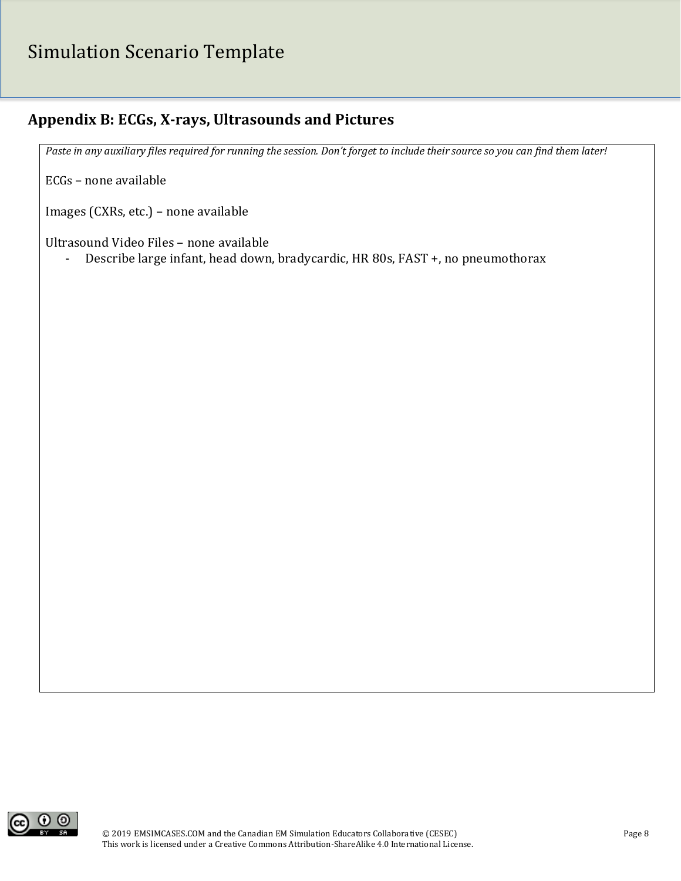# Simulation Scenario Template

## **Appendix B: ECGs, X-rays, Ultrasounds and Pictures**

*Paste in any auxiliary files required for running the session. Don't forget to include their source so you can find them later!*

ECGs – none available

Images (CXRs, etc.) – none available

Ultrasound Video Files – none available

- Describe large infant, head down, bradycardic, HR 80s, FAST +, no pneumothorax